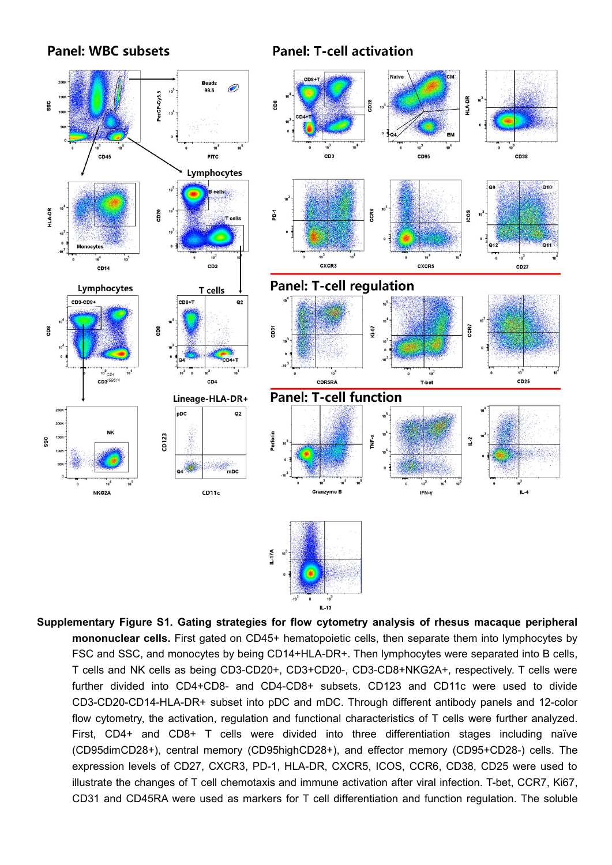**Panel: WBC subsets** 

**Panel: T-cell activation** 



**Supplementary Figure S1. Gating strategies for flow cytometry analysis of rhesus macaque peripheral mononuclear cells.** First gated on CD45+ hematopoietic cells, then separate them into lymphocytes by FSC and SSC, and monocytes by being CD14+HLA-DR+. Then lymphocytes were separated into B cells, T cells and NK cells as being CD3-CD20+, CD3+CD20-, CD3-CD8+NKG2A+, respectively. T cells were further divided into CD4+CD8- and CD4-CD8+ subsets. CD123 and CD11c were used to divide CD3-CD20-CD14-HLA-DR+ subset into pDC and mDC. Through different antibody panels and 12-color flow cytometry, the activation, regulation and functional characteristics of T cells were further analyzed. First, CD4+ and CD8+ T cells were divided into three differentiation stages including naïve (CD95dimCD28+), central memory (CD95highCD28+), and effector memory (CD95+CD28-) cells. The expression levels of CD27, CXCR3, PD-1, HLA-DR, CXCR5, ICOS, CCR6, CD38, CD25 were used to illustrate the changes of T cell chemotaxis and immune activation after viral infection. T-bet, CCR7, Ki67, CD31 and CD45RA were used as markers for T cell differentiation and function regulation. The soluble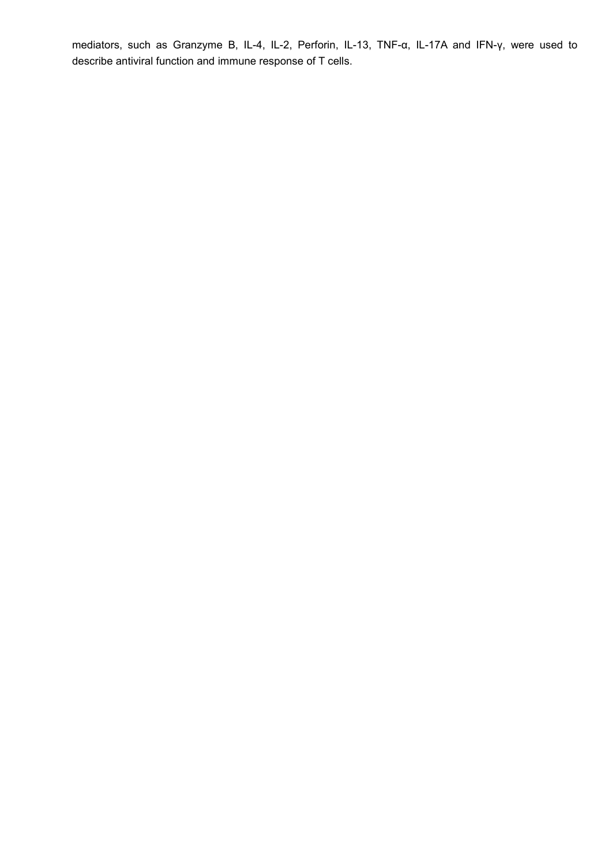mediators, such as Granzyme B, IL-4, IL-2, Perforin, IL-13, TNF-α, IL-17A and IFN-γ, were used to describe antiviral function and immune response of T cells.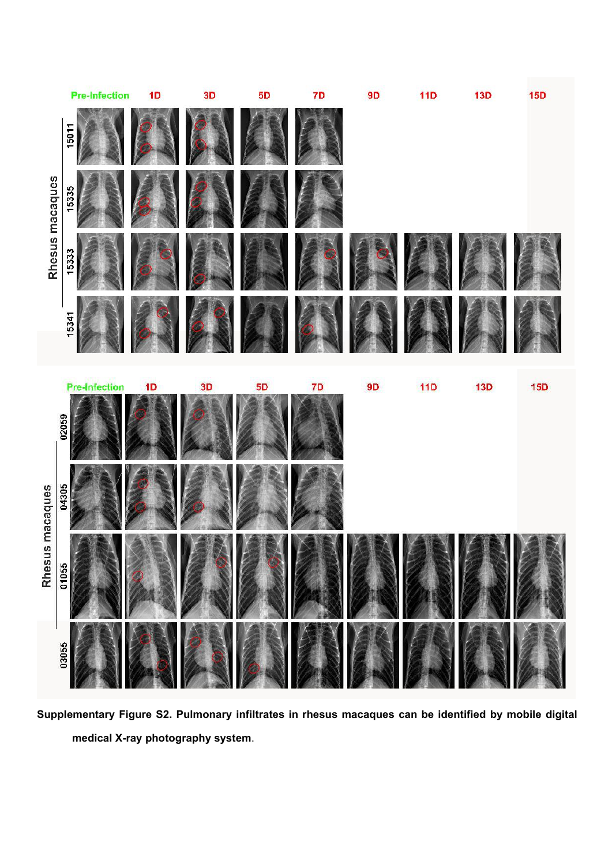

**Supplementary Figure S2. Pulmonary infiltrates in rhesus macaques can be identified by mobile digital medical X-ray photography system**.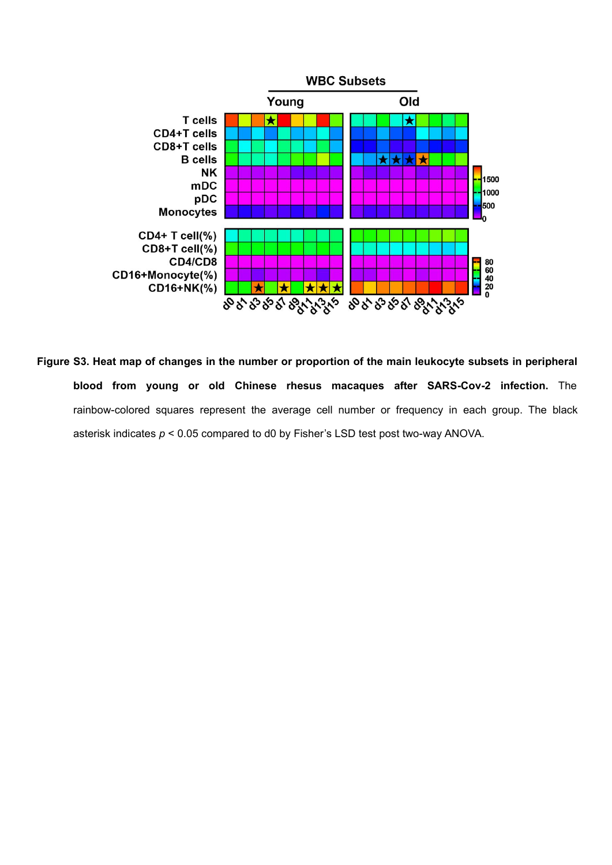

Figure S3. Heat map of changes in the number or proportion of the main leukocyte subsets in peripheral **blood from young or old Chinese rhesus macaques after SARS-Cov-2 infection.** The rainbow-colored squares represent the average cell number or frequency in each group. The black asterisk indicates *p* < 0.05 compared to d0 by Fisher's LSD test post two-way ANOVA.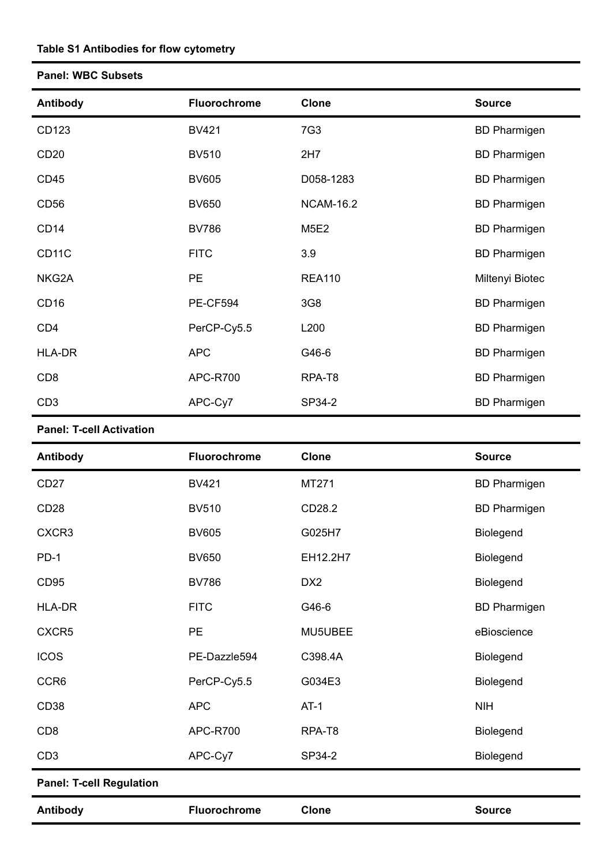## **Table S1 Antibodies for flow cytometry**

## **Panel: WBC Subsets**

| Antibody           | <b>Fluorochrome</b> | <b>Clone</b>     | <b>Source</b>       |
|--------------------|---------------------|------------------|---------------------|
| CD123              | <b>BV421</b>        | 7G3              | <b>BD Pharmigen</b> |
| CD <sub>20</sub>   | <b>BV510</b>        | 2H7              | <b>BD Pharmigen</b> |
| CD45               | <b>BV605</b>        | D058-1283        | <b>BD Pharmigen</b> |
| CD <sub>56</sub>   | <b>BV650</b>        | <b>NCAM-16.2</b> | <b>BD Pharmigen</b> |
| CD <sub>14</sub>   | <b>BV786</b>        | <b>M5E2</b>      | <b>BD Pharmigen</b> |
| CD <sub>11</sub> C | <b>FITC</b>         | 3.9              | <b>BD Pharmigen</b> |
| NKG2A              | PE                  | <b>REA110</b>    | Miltenyi Biotec     |
| CD <sub>16</sub>   | PE-CF594            | 3G8              | <b>BD Pharmigen</b> |
| CD <sub>4</sub>    | PerCP-Cy5.5         | L200             | <b>BD Pharmigen</b> |
| HLA-DR             | <b>APC</b>          | G46-6            | <b>BD Pharmigen</b> |
| CD <sub>8</sub>    | APC-R700            | RPA-T8           | <b>BD Pharmigen</b> |
| CD <sub>3</sub>    | APC-Cy7             | SP34-2           | <b>BD Pharmigen</b> |

## **Panel: T-cell Activation**

| Antibody                        | <b>Fluorochrome</b> | <b>Clone</b>    | <b>Source</b>       |
|---------------------------------|---------------------|-----------------|---------------------|
| CD <sub>27</sub>                | <b>BV421</b>        | MT271           | <b>BD Pharmigen</b> |
| CD <sub>28</sub>                | <b>BV510</b>        | CD28.2          | <b>BD Pharmigen</b> |
| CXCR3                           | <b>BV605</b>        | G025H7          | Biolegend           |
| $PD-1$                          | <b>BV650</b>        | EH12.2H7        | Biolegend           |
| CD <sub>95</sub>                | <b>BV786</b>        | DX <sub>2</sub> | Biolegend           |
| <b>HLA-DR</b>                   | <b>FITC</b>         | G46-6           | <b>BD Pharmigen</b> |
| CXCR5                           | <b>PE</b>           | MU5UBEE         | eBioscience         |
| <b>ICOS</b>                     | PE-Dazzle594        | C398.4A         | Biolegend           |
| CCR <sub>6</sub>                | PerCP-Cy5.5         | G034E3          | Biolegend           |
| CD <sub>38</sub>                | <b>APC</b>          | $AT-1$          | <b>NIH</b>          |
| CD <sub>8</sub>                 | APC-R700            | RPA-T8          | Biolegend           |
| CD <sub>3</sub>                 | APC-Cy7             | SP34-2          | Biolegend           |
| <b>Panel: T-cell Regulation</b> |                     |                 |                     |
| Antibody                        | Fluorochrome        | <b>Clone</b>    | <b>Source</b>       |